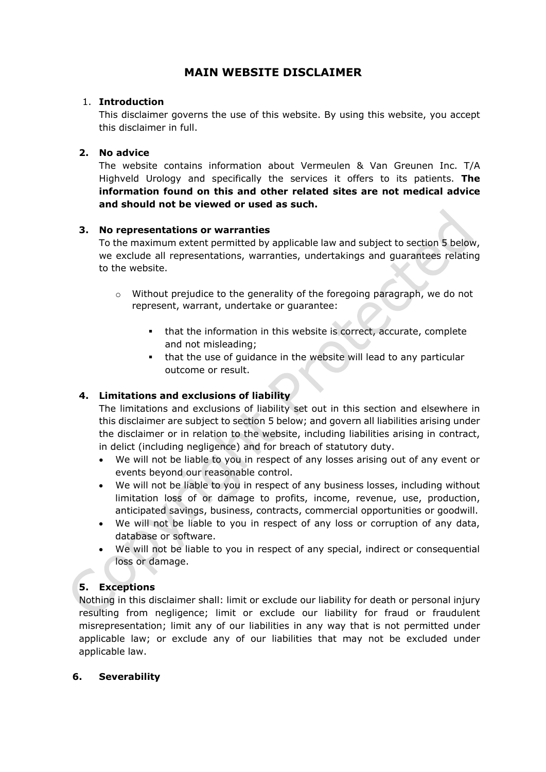# **MAIN WEBSITE DISCLAIMER**

### 1. **Introduction**

This disclaimer governs the use of this website. By using this website, you accept this disclaimer in full.

## **2. No advice**

The website contains information about Vermeulen & Van Greunen Inc. T/A Highveld Urology and specifically the services it offers to its patients. **The information found on this and other related sites are not medical advice and should not be viewed or used as such.**

## **3. No representations or warranties**

To the maximum extent permitted by applicable law and subject to section 5 below, we exclude all representations, warranties, undertakings and guarantees relating to the website.

- o Without prejudice to the generality of the foregoing paragraph, we do not represent, warrant, undertake or guarantee:
	- that the information in this website is correct, accurate, complete and not misleading;
	- that the use of guidance in the website will lead to any particular outcome or result.

## **4. Limitations and exclusions of liability**

The limitations and exclusions of liability set out in this section and elsewhere in this disclaimer are subject to section 5 below; and govern all liabilities arising under the disclaimer or in relation to the website, including liabilities arising in contract, in delict (including negligence) and for breach of statutory duty.

- We will not be liable to you in respect of any losses arising out of any event or events beyond our reasonable control.
- We will not be liable to you in respect of any business losses, including without limitation loss of or damage to profits, income, revenue, use, production, anticipated savings, business, contracts, commercial opportunities or goodwill.
- We will not be liable to you in respect of any loss or corruption of any data, database or software.
- We will not be liable to you in respect of any special, indirect or consequential loss or damage.

## **5. Exceptions**

Nothing in this disclaimer shall: limit or exclude our liability for death or personal injury resulting from negligence; limit or exclude our liability for fraud or fraudulent misrepresentation; limit any of our liabilities in any way that is not permitted under applicable law; or exclude any of our liabilities that may not be excluded under applicable law.

### **6. Severability**